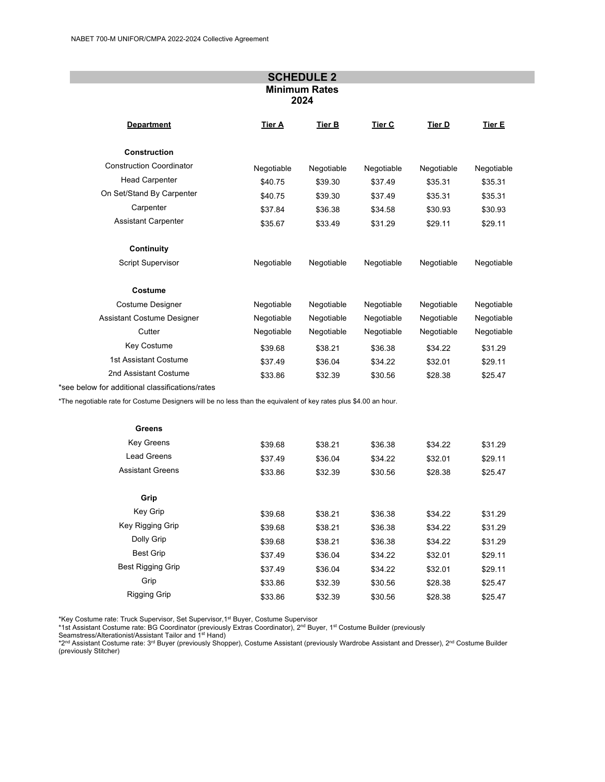| <b>SCHEDULE 2</b><br><b>Minimum Rates</b><br>2024 |            |               |               |               |            |
|---------------------------------------------------|------------|---------------|---------------|---------------|------------|
| <b>Department</b>                                 | Tier A     | <b>Tier B</b> | <b>Tier C</b> | <b>Tier D</b> | Tier E     |
| <b>Construction</b>                               |            |               |               |               |            |
| <b>Construction Coordinator</b>                   | Negotiable | Negotiable    | Negotiable    | Negotiable    | Negotiable |
| <b>Head Carpenter</b>                             | \$40.75    | \$39.30       | \$37.49       | \$35.31       | \$35.31    |
| On Set/Stand By Carpenter                         | \$40.75    | \$39.30       | \$37.49       | \$35.31       | \$35.31    |
| Carpenter                                         | \$37.84    | \$36.38       | \$34.58       | \$30.93       | \$30.93    |
| <b>Assistant Carpenter</b>                        | \$35.67    | \$33.49       | \$31.29       | \$29.11       | \$29.11    |
| <b>Continuity</b>                                 |            |               |               |               |            |
| <b>Script Supervisor</b>                          | Negotiable | Negotiable    | Negotiable    | Negotiable    | Negotiable |
| Costume                                           |            |               |               |               |            |
| <b>Costume Designer</b>                           | Negotiable | Negotiable    | Negotiable    | Negotiable    | Negotiable |
| <b>Assistant Costume Designer</b>                 | Negotiable | Negotiable    | Negotiable    | Negotiable    | Negotiable |
| Cutter                                            | Negotiable | Negotiable    | Negotiable    | Negotiable    | Negotiable |
| Key Costume                                       | \$39.68    | \$38.21       | \$36.38       | \$34.22       | \$31.29    |
| 1st Assistant Costume                             | \$37.49    | \$36.04       | \$34.22       | \$32.01       | \$29.11    |
| 2nd Assistant Costume                             | \$33.86    | \$32.39       | \$30.56       | \$28.38       | \$25.47    |
| *see below for additional classifications/rates   |            |               |               |               |            |

\*The negotiable rate for Costume Designers will be no less than the equivalent of key rates plus \$4.00 an hour.

| Greens                   |         |         |         |         |         |
|--------------------------|---------|---------|---------|---------|---------|
| <b>Key Greens</b>        | \$39.68 | \$38.21 | \$36.38 | \$34.22 | \$31.29 |
| Lead Greens              | \$37.49 | \$36.04 | \$34.22 | \$32.01 | \$29.11 |
| <b>Assistant Greens</b>  | \$33.86 | \$32.39 | \$30.56 | \$28.38 | \$25.47 |
| Grip                     |         |         |         |         |         |
| <b>Key Grip</b>          | \$39.68 | \$38.21 | \$36.38 | \$34.22 | \$31.29 |
| Key Rigging Grip         | \$39.68 | \$38.21 | \$36.38 | \$34.22 | \$31.29 |
| Dolly Grip               | \$39.68 | \$38.21 | \$36.38 | \$34.22 | \$31.29 |
| <b>Best Grip</b>         | \$37.49 | \$36.04 | \$34.22 | \$32.01 | \$29.11 |
| <b>Best Rigging Grip</b> | \$37.49 | \$36.04 | \$34.22 | \$32.01 | \$29.11 |
| Grip                     | \$33.86 | \$32.39 | \$30.56 | \$28.38 | \$25.47 |
| Rigging Grip             | \$33.86 | \$32.39 | \$30.56 | \$28.38 | \$25.47 |

\*Key Costume rate: Truck Supervisor, Set Supervisor,1st Buyer, Costume Supervisor

\*1st Assistant Costume rate: BG Coordinator (previously Extras Coordinator), 2<u>nd Buyer, 1st Costume Builder (</u>previously<br>Seamstress/Alterationist/Assistant Tailor and 1st Hand)

\*2<sup>nd</sup> Assistant Costume rate: 3<sup>rd</sup> Buyer (previously Shopper), Costume Assistant (previously Wardrobe Assistant and Dresser), 2<sup>nd</sup> Costume Builder (previously Stitcher)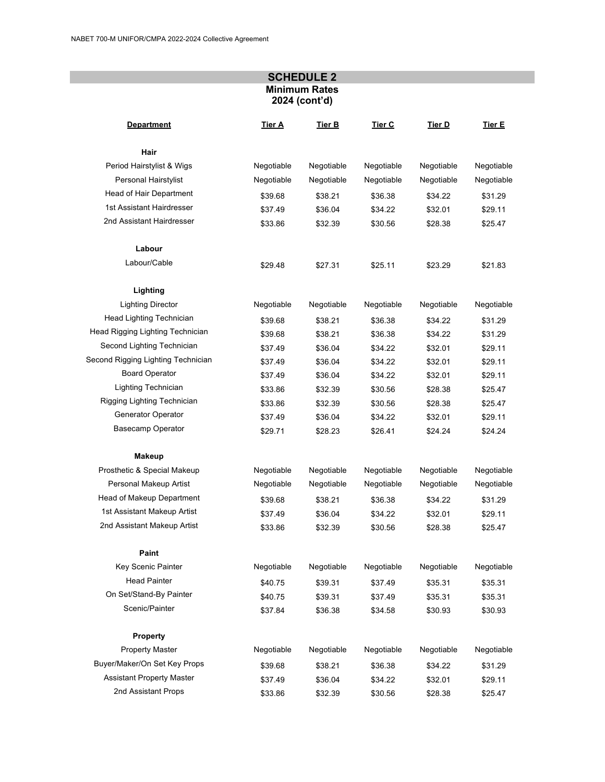## **SCHEDULE 2 Minimum Rates 2024 (cont'd)**

| <b>Department</b>                  | Tier A     | Tier B     | Tier C     | Tier D     | Tier E     |
|------------------------------------|------------|------------|------------|------------|------------|
| Hair                               |            |            |            |            |            |
| Period Hairstylist & Wigs          | Negotiable | Negotiable | Negotiable | Negotiable | Negotiable |
| Personal Hairstylist               | Negotiable | Negotiable | Negotiable | Negotiable | Negotiable |
| Head of Hair Department            | \$39.68    | \$38.21    | \$36.38    | \$34.22    | \$31.29    |
| 1st Assistant Hairdresser          | \$37.49    | \$36.04    | \$34.22    | \$32.01    | \$29.11    |
| 2nd Assistant Hairdresser          | \$33.86    | \$32.39    | \$30.56    | \$28.38    | \$25.47    |
| Labour                             |            |            |            |            |            |
| Labour/Cable                       | \$29.48    | \$27.31    | \$25.11    | \$23.29    | \$21.83    |
| Lighting                           |            |            |            |            |            |
| <b>Lighting Director</b>           | Negotiable | Negotiable | Negotiable | Negotiable | Negotiable |
| Head Lighting Technician           | \$39.68    | \$38.21    | \$36.38    | \$34.22    | \$31.29    |
| Head Rigging Lighting Technician   | \$39.68    | \$38.21    | \$36.38    | \$34.22    | \$31.29    |
| Second Lighting Technician         | \$37.49    | \$36.04    | \$34.22    | \$32.01    | \$29.11    |
| Second Rigging Lighting Technician | \$37.49    | \$36.04    | \$34.22    | \$32.01    | \$29.11    |
| <b>Board Operator</b>              | \$37.49    | \$36.04    | \$34.22    | \$32.01    | \$29.11    |
| Lighting Technician                | \$33.86    | \$32.39    | \$30.56    | \$28.38    | \$25.47    |
| Rigging Lighting Technician        | \$33.86    | \$32.39    | \$30.56    | \$28.38    | \$25.47    |
| Generator Operator                 | \$37.49    | \$36.04    | \$34.22    | \$32.01    | \$29.11    |
| Basecamp Operator                  | \$29.71    | \$28.23    | \$26.41    | \$24.24    | \$24.24    |
| <b>Makeup</b>                      |            |            |            |            |            |
| Prosthetic & Special Makeup        | Negotiable | Negotiable | Negotiable | Negotiable | Negotiable |
| Personal Makeup Artist             | Negotiable | Negotiable | Negotiable | Negotiable | Negotiable |
| Head of Makeup Department          | \$39.68    | \$38.21    | \$36.38    | \$34.22    | \$31.29    |
| 1st Assistant Makeup Artist        | \$37.49    | \$36.04    | \$34.22    | \$32.01    | \$29.11    |
| 2nd Assistant Makeup Artist        | \$33.86    | \$32.39    | \$30.56    | \$28.38    | \$25.47    |
| Paint                              |            |            |            |            |            |
| Key Scenic Painter                 | Negotiable | Negotiable | Negotiable | Negotiable | Negotiable |
| <b>Head Painter</b>                | \$40.75    | \$39.31    | \$37.49    | \$35.31    | \$35.31    |
| On Set/Stand-By Painter            | \$40.75    | \$39.31    | \$37.49    | \$35.31    | \$35.31    |
| Scenic/Painter                     | \$37.84    | \$36.38    | \$34.58    | \$30.93    | \$30.93    |
| <b>Property</b>                    |            |            |            |            |            |
| Property Master                    | Negotiable | Negotiable | Negotiable | Negotiable | Negotiable |
| Buyer/Maker/On Set Key Props       | \$39.68    | \$38.21    | \$36.38    | \$34.22    | \$31.29    |
| <b>Assistant Property Master</b>   | \$37.49    | \$36.04    | \$34.22    | \$32.01    | \$29.11    |
| 2nd Assistant Props                | \$33.86    | \$32.39    | \$30.56    | \$28.38    | \$25.47    |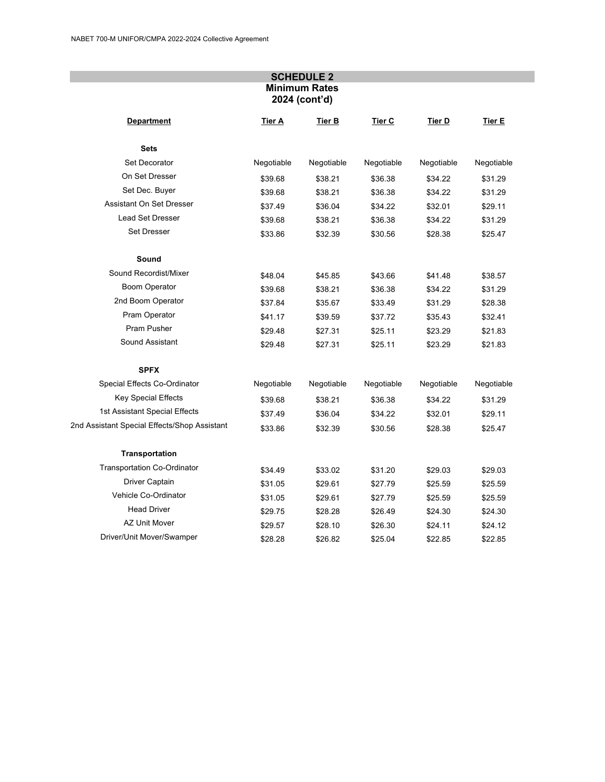## **SCHEDULE 2 Minimum Rates 2024 (cont'd)**

| <b>Department</b>                            | Tier A     | Tier <sub>B</sub> | Tier C     | Tier D     | Tier E     |
|----------------------------------------------|------------|-------------------|------------|------------|------------|
| <b>Sets</b>                                  |            |                   |            |            |            |
| Set Decorator                                | Negotiable | Negotiable        | Negotiable | Negotiable | Negotiable |
| On Set Dresser                               | \$39.68    | \$38.21           | \$36.38    | \$34.22    | \$31.29    |
| Set Dec. Buyer                               | \$39.68    | \$38.21           | \$36.38    | \$34.22    | \$31.29    |
| Assistant On Set Dresser                     | \$37.49    | \$36.04           | \$34.22    | \$32.01    | \$29.11    |
| <b>Lead Set Dresser</b>                      | \$39.68    | \$38.21           | \$36.38    | \$34.22    | \$31.29    |
| Set Dresser                                  | \$33.86    | \$32.39           | \$30.56    | \$28.38    | \$25.47    |
| Sound                                        |            |                   |            |            |            |
| Sound Recordist/Mixer                        | \$48.04    | \$45.85           | \$43.66    | \$41.48    | \$38.57    |
| Boom Operator                                | \$39.68    | \$38.21           | \$36.38    | \$34.22    | \$31.29    |
| 2nd Boom Operator                            | \$37.84    | \$35.67           | \$33.49    | \$31.29    | \$28.38    |
| Pram Operator                                | \$41.17    | \$39.59           | \$37.72    | \$35.43    | \$32.41    |
| Pram Pusher                                  | \$29.48    | \$27.31           | \$25.11    | \$23.29    | \$21.83    |
| Sound Assistant                              | \$29.48    | \$27.31           | \$25.11    | \$23.29    | \$21.83    |
| <b>SPFX</b>                                  |            |                   |            |            |            |
| Special Effects Co-Ordinator                 | Negotiable | Negotiable        | Negotiable | Negotiable | Negotiable |
| <b>Key Special Effects</b>                   | \$39.68    | \$38.21           | \$36.38    | \$34.22    | \$31.29    |
| 1st Assistant Special Effects                | \$37.49    | \$36.04           | \$34.22    | \$32.01    | \$29.11    |
| 2nd Assistant Special Effects/Shop Assistant | \$33.86    | \$32.39           | \$30.56    | \$28.38    | \$25.47    |
| <b>Transportation</b>                        |            |                   |            |            |            |
| <b>Transportation Co-Ordinator</b>           | \$34.49    | \$33.02           | \$31.20    | \$29.03    | \$29.03    |
| Driver Captain                               | \$31.05    | \$29.61           | \$27.79    | \$25.59    | \$25.59    |
| Vehicle Co-Ordinator                         | \$31.05    | \$29.61           | \$27.79    | \$25.59    | \$25.59    |
| <b>Head Driver</b>                           | \$29.75    | \$28.28           | \$26.49    | \$24.30    | \$24.30    |
| <b>AZ Unit Mover</b>                         | \$29.57    | \$28.10           | \$26.30    | \$24.11    | \$24.12    |
| Driver/Unit Mover/Swamper                    | \$28.28    | \$26.82           | \$25.04    | \$22.85    | \$22.85    |